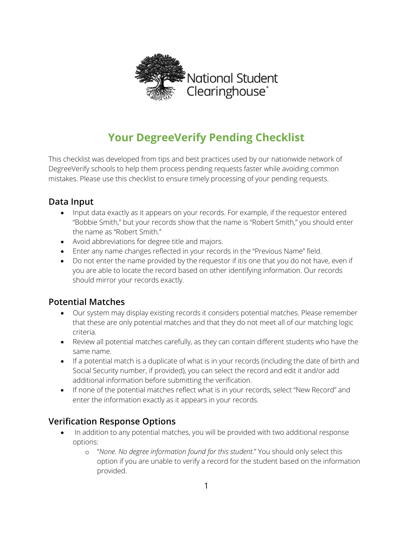

# **Your DegreeVerify Pending Checklist**

This checklist was developed from tips and best practices used by our nationwide network of DegreeVerify schools to help them process pending requests faster while avoiding common mistakes. Please use this checklist to ensure timely processing of your pending requests.

# **Data Input**

- Input data exactly as it appears on your records. For example, if the requestor entered "Bobbie Smith," but your records show that the name is "Robert Smith," you should enter the name as "Robert Smith."
- Avoid abbreviations for degree title and majors.
- Enter any name changes reflected in your records in the "Previous Name" field.
- Do not enter the name provided by the requestor if itis one that you do not have, even if you are able to locate the record based on other identifying information. Our records should mirror your records exactly.

# **Potential Matches**

- Our system may display existing records it considers potential matches. Please remember that these are only potential matches and that they do not meet all of our matching logic criteria.
- Review all potential matches carefully, as they can contain different students who have the same name.
- If a potential match is a duplicate of what is in your records (including the date of birth and Social Security number, if provided), you can select the record and edit it and/or add additional information before submitting the verification.
- If none of the potential matches reflect what is in your records, select "New Record" and enter the information exactly as it appears in your records.

# **Verification Response Options**

- In addition to any potential matches, you will be provided with two additional response options:
	- o "*None. No degree information found for this student*." You should only select this option if you are unable to verify a record for the student based on the information provided.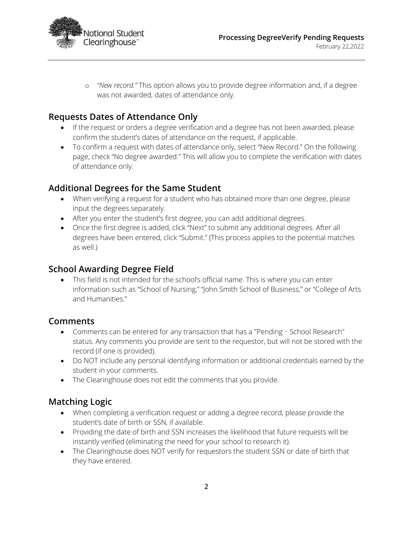

o *"New record."* This option allows you to provide degree information and, if a degree was not awarded, dates of attendance only.

# **Requests Dates of Attendance Only**

- If the request or orders a degree verification and a degree has not been awarded, please confirm the student's dates of attendance on the request, if applicable.
- To confirm a request with dates of attendance only, select "New Record." On the following page, check "No degree awarded." This will allow you to complete the verification with dates of attendance only.

#### **Additional Degrees for the Same Student**

- When verifying a request for a student who has obtained more than one degree, please input the degrees separately.
- After you enter the student's first degree, you can add additional degrees.
- Once the first degree is added, click "Next" to submit any additional degrees. After all degrees have been entered, click "Submit." (This process applies to the potential matches as well.)

#### **School Awarding Degree Field**

• This field is not intended for the school's official name. This is where you can enter information such as "School of Nursing," "John Smith School of Business," or "College of Arts and Humanities."

#### **Comments**

- Comments can be entered for any transaction that has a "Pending School Research" status. Any comments you provide are sent to the requestor, but will not be stored with the record (if one is provided).
- Do NOT include any personal identifying information or additional credentials earned by the student in your comments.
- The Clearinghouse does not edit the comments that you provide.

#### **Matching Logic**

- When completing a verification request or adding a degree record, please provide the student's date of birth or SSN, if available.
- Providing the date of birth and SSN increases the likelihood that future requests will be instantly verified (eliminating the need for your school to research it).
- The Clearinghouse does NOT verify for requestors the student SSN or date of birth that they have entered.